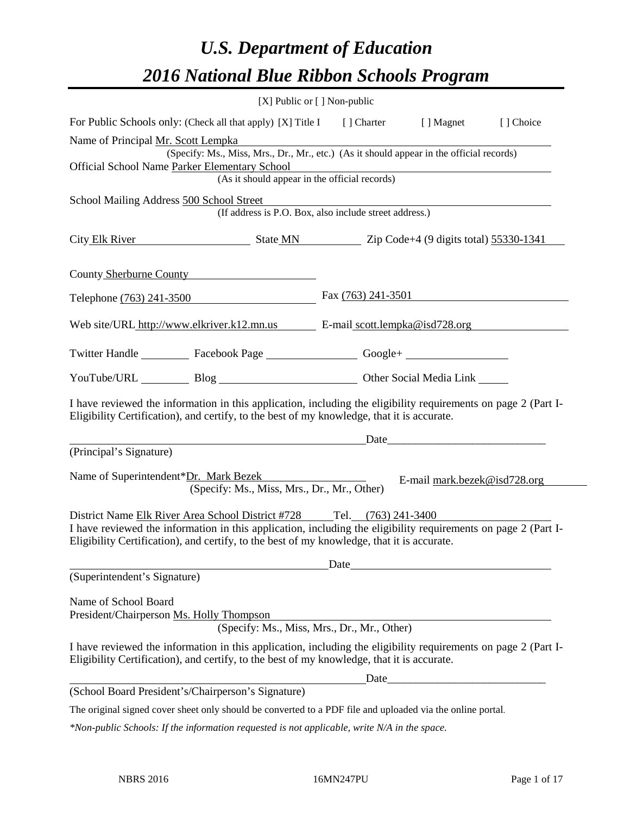# *U.S. Department of Education 2016 National Blue Ribbon Schools Program*

| [X] Public or [] Non-public                                                                                                                                                                                                                                                           |                      |                                                                                                                                                                                                                                |           |
|---------------------------------------------------------------------------------------------------------------------------------------------------------------------------------------------------------------------------------------------------------------------------------------|----------------------|--------------------------------------------------------------------------------------------------------------------------------------------------------------------------------------------------------------------------------|-----------|
| For Public Schools only: (Check all that apply) [X] Title I [] Charter [] Magnet                                                                                                                                                                                                      |                      |                                                                                                                                                                                                                                | [] Choice |
| Name of Principal Mr. Scott Lempka                                                                                                                                                                                                                                                    |                      |                                                                                                                                                                                                                                |           |
| (Specify: Ms., Miss, Mrs., Dr., Mr., etc.) (As it should appear in the official records)                                                                                                                                                                                              |                      |                                                                                                                                                                                                                                |           |
| Official School Name Parker Elementary School<br>(As it should appear in the official records)                                                                                                                                                                                        |                      |                                                                                                                                                                                                                                |           |
|                                                                                                                                                                                                                                                                                       |                      |                                                                                                                                                                                                                                |           |
| School Mailing Address 500 School Street<br>(If address is P.O. Box, also include street address.)                                                                                                                                                                                    |                      |                                                                                                                                                                                                                                |           |
|                                                                                                                                                                                                                                                                                       |                      |                                                                                                                                                                                                                                |           |
| City Elk River State MN Zip Code+4 (9 digits total) 55330-1341                                                                                                                                                                                                                        |                      |                                                                                                                                                                                                                                |           |
|                                                                                                                                                                                                                                                                                       |                      |                                                                                                                                                                                                                                |           |
| County Sherburne County                                                                                                                                                                                                                                                               |                      |                                                                                                                                                                                                                                |           |
| Telephone (763) 241-3500                                                                                                                                                                                                                                                              | Fax $(763)$ 241-3501 |                                                                                                                                                                                                                                |           |
|                                                                                                                                                                                                                                                                                       |                      |                                                                                                                                                                                                                                |           |
| Web site/URL http://www.elkriver.k12.mn.us E-mail scott.lempka@isd728.org                                                                                                                                                                                                             |                      |                                                                                                                                                                                                                                |           |
|                                                                                                                                                                                                                                                                                       |                      |                                                                                                                                                                                                                                |           |
| Twitter Handle ____________ Facebook Page _____________________ Google+ ____________________________                                                                                                                                                                                  |                      |                                                                                                                                                                                                                                |           |
| YouTube/URL Blog Blog Cher Social Media Link                                                                                                                                                                                                                                          |                      |                                                                                                                                                                                                                                |           |
| I have reviewed the information in this application, including the eligibility requirements on page 2 (Part I-<br>Eligibility Certification), and certify, to the best of my knowledge, that it is accurate.                                                                          |                      |                                                                                                                                                                                                                                |           |
|                                                                                                                                                                                                                                                                                       |                      | Date and the contract of the contract of the contract of the contract of the contract of the contract of the contract of the contract of the contract of the contract of the contract of the contract of the contract of the c |           |
| (Principal's Signature)                                                                                                                                                                                                                                                               |                      |                                                                                                                                                                                                                                |           |
| Name of Superintendent*Dr. Mark Bezek<br>(Specify: Ms., Miss, Mrs., Dr., Mr., Other)                                                                                                                                                                                                  |                      | E-mail mark.bezek@isd728.org                                                                                                                                                                                                   |           |
| District Name Elk River Area School District #728 Tel. (763) 241-3400<br>I have reviewed the information in this application, including the eligibility requirements on page 2 (Part I-<br>Eligibility Certification), and certify, to the best of my knowledge, that it is accurate. |                      |                                                                                                                                                                                                                                |           |
| (Superintendent's Signature)                                                                                                                                                                                                                                                          |                      |                                                                                                                                                                                                                                |           |
|                                                                                                                                                                                                                                                                                       |                      |                                                                                                                                                                                                                                |           |
| Name of School Board<br>President/Chairperson Ms. Holly Thompson<br>(Specify: Ms., Miss, Mrs., Dr., Mr., Other)                                                                                                                                                                       |                      |                                                                                                                                                                                                                                |           |
| I have reviewed the information in this application, including the eligibility requirements on page 2 (Part I-<br>Eligibility Certification), and certify, to the best of my knowledge, that it is accurate.                                                                          |                      |                                                                                                                                                                                                                                |           |
|                                                                                                                                                                                                                                                                                       |                      | $\text{Date}$                                                                                                                                                                                                                  |           |
| (School Board President's/Chairperson's Signature)                                                                                                                                                                                                                                    |                      |                                                                                                                                                                                                                                |           |
| The original signed cover sheet only should be converted to a PDF file and uploaded via the online portal.                                                                                                                                                                            |                      |                                                                                                                                                                                                                                |           |

*\*Non-public Schools: If the information requested is not applicable, write N/A in the space.*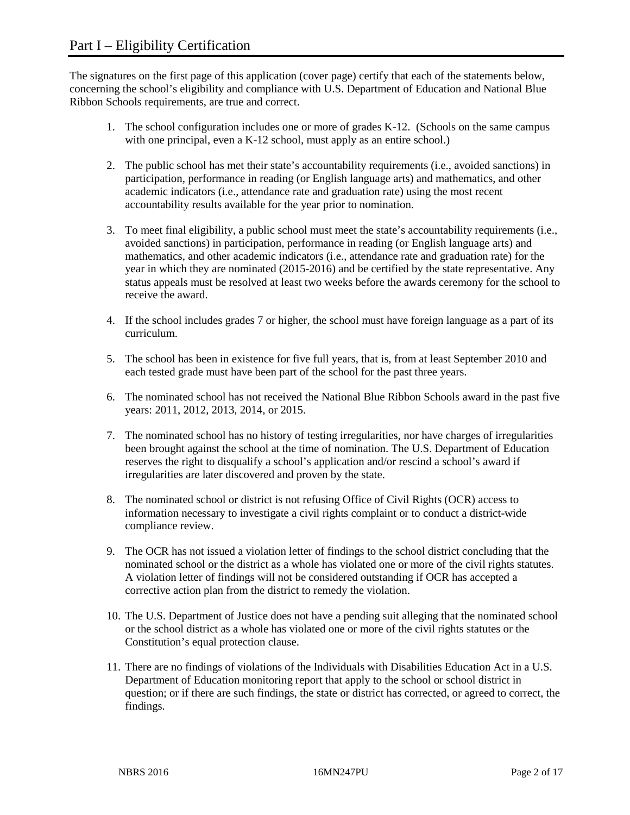The signatures on the first page of this application (cover page) certify that each of the statements below, concerning the school's eligibility and compliance with U.S. Department of Education and National Blue Ribbon Schools requirements, are true and correct.

- 1. The school configuration includes one or more of grades K-12. (Schools on the same campus with one principal, even a K-12 school, must apply as an entire school.)
- 2. The public school has met their state's accountability requirements (i.e., avoided sanctions) in participation, performance in reading (or English language arts) and mathematics, and other academic indicators (i.e., attendance rate and graduation rate) using the most recent accountability results available for the year prior to nomination.
- 3. To meet final eligibility, a public school must meet the state's accountability requirements (i.e., avoided sanctions) in participation, performance in reading (or English language arts) and mathematics, and other academic indicators (i.e., attendance rate and graduation rate) for the year in which they are nominated (2015-2016) and be certified by the state representative. Any status appeals must be resolved at least two weeks before the awards ceremony for the school to receive the award.
- 4. If the school includes grades 7 or higher, the school must have foreign language as a part of its curriculum.
- 5. The school has been in existence for five full years, that is, from at least September 2010 and each tested grade must have been part of the school for the past three years.
- 6. The nominated school has not received the National Blue Ribbon Schools award in the past five years: 2011, 2012, 2013, 2014, or 2015.
- 7. The nominated school has no history of testing irregularities, nor have charges of irregularities been brought against the school at the time of nomination. The U.S. Department of Education reserves the right to disqualify a school's application and/or rescind a school's award if irregularities are later discovered and proven by the state.
- 8. The nominated school or district is not refusing Office of Civil Rights (OCR) access to information necessary to investigate a civil rights complaint or to conduct a district-wide compliance review.
- 9. The OCR has not issued a violation letter of findings to the school district concluding that the nominated school or the district as a whole has violated one or more of the civil rights statutes. A violation letter of findings will not be considered outstanding if OCR has accepted a corrective action plan from the district to remedy the violation.
- 10. The U.S. Department of Justice does not have a pending suit alleging that the nominated school or the school district as a whole has violated one or more of the civil rights statutes or the Constitution's equal protection clause.
- 11. There are no findings of violations of the Individuals with Disabilities Education Act in a U.S. Department of Education monitoring report that apply to the school or school district in question; or if there are such findings, the state or district has corrected, or agreed to correct, the findings.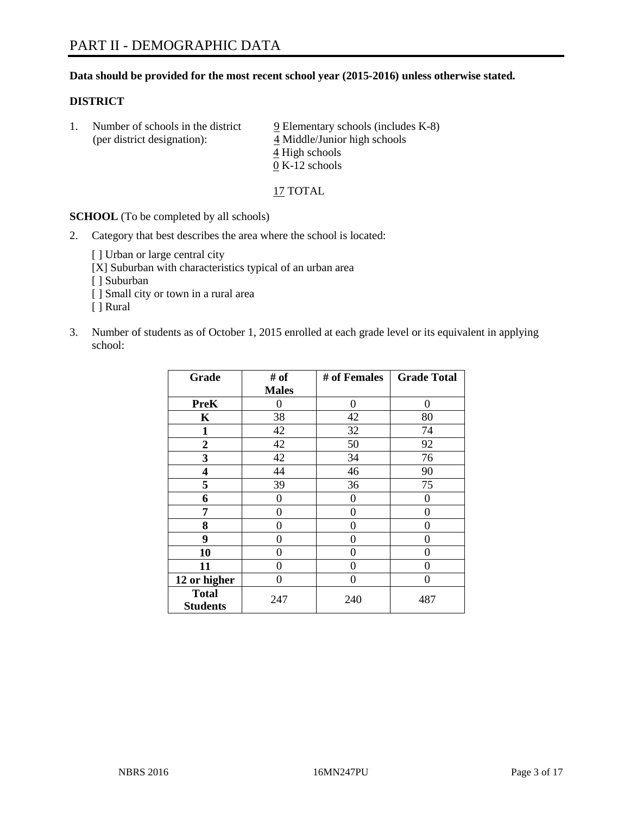### **Data should be provided for the most recent school year (2015-2016) unless otherwise stated.**

### **DISTRICT**

1. Number of schools in the district  $9$  Elementary schools (includes K-8) (per district designation): 4 Middle/Junior high schools 4 High schools 0 K-12 schools

17 TOTAL

**SCHOOL** (To be completed by all schools)

2. Category that best describes the area where the school is located:

[] Urban or large central city [X] Suburban with characteristics typical of an urban area [ ] Suburban [ ] Small city or town in a rural area [ ] Rural

3. Number of students as of October 1, 2015 enrolled at each grade level or its equivalent in applying school:

| Grade                           | # of         | # of Females | <b>Grade Total</b> |
|---------------------------------|--------------|--------------|--------------------|
|                                 | <b>Males</b> |              |                    |
| <b>PreK</b>                     | 0            | 0            | 0                  |
| K                               | 38           | 42           | 80                 |
| $\mathbf{1}$                    | 42           | 32           | 74                 |
| $\overline{2}$                  | 42           | 50           | 92                 |
| 3                               | 42           | 34           | 76                 |
| 4                               | 44           | 46           | 90                 |
| 5                               | 39           | 36           | 75                 |
| 6                               | $\theta$     | 0            | $\theta$           |
| 7                               | 0            | 0            | 0                  |
| 8                               | $\theta$     | 0            | 0                  |
| 9                               | 0            | 0            | $\theta$           |
| 10                              | 0            | 0            | 0                  |
| 11                              | $\theta$     | 0            | 0                  |
| 12 or higher                    | $\theta$     | 0            | $\Omega$           |
| <b>Total</b><br><b>Students</b> | 247          | 240          | 487                |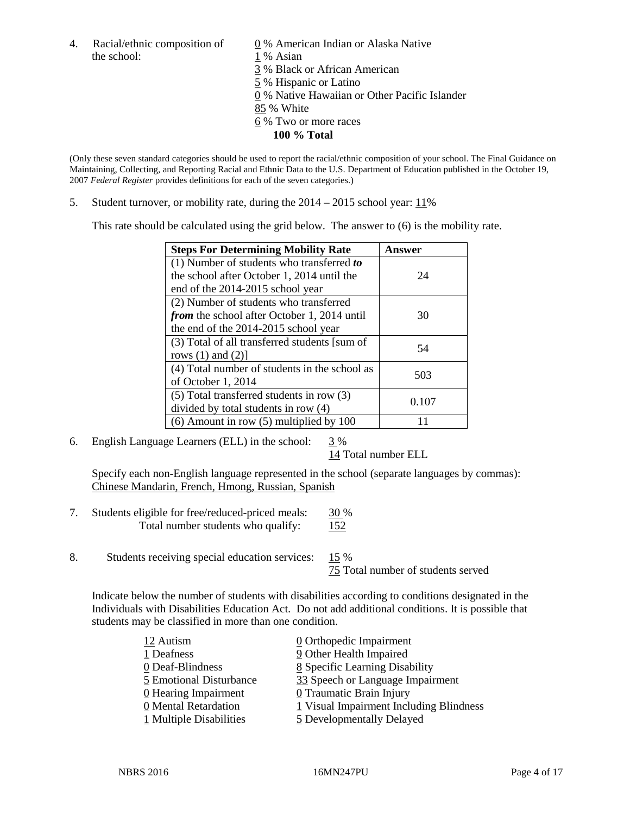4. Racial/ethnic composition of  $\underline{0}$  % American Indian or Alaska Native the school: 1 % Asian

 % Black or African American % Hispanic or Latino % Native Hawaiian or Other Pacific Islander 85 % White % Two or more races **100 % Total**

(Only these seven standard categories should be used to report the racial/ethnic composition of your school. The Final Guidance on Maintaining, Collecting, and Reporting Racial and Ethnic Data to the U.S. Department of Education published in the October 19, 2007 *Federal Register* provides definitions for each of the seven categories.)

5. Student turnover, or mobility rate, during the  $2014 - 2015$  school year:  $11\%$ 

This rate should be calculated using the grid below. The answer to (6) is the mobility rate.

| <b>Steps For Determining Mobility Rate</b>         | Answer |  |
|----------------------------------------------------|--------|--|
| (1) Number of students who transferred to          |        |  |
| the school after October 1, 2014 until the         | 24     |  |
| end of the 2014-2015 school year                   |        |  |
| (2) Number of students who transferred             |        |  |
| <i>from</i> the school after October 1, 2014 until | 30     |  |
| the end of the 2014-2015 school year               |        |  |
| (3) Total of all transferred students [sum of      | 54     |  |
| rows $(1)$ and $(2)$ ]                             |        |  |
| (4) Total number of students in the school as      | 503    |  |
| of October 1, 2014                                 |        |  |
| (5) Total transferred students in row (3)          | 0.107  |  |
| divided by total students in row (4)               |        |  |
| $(6)$ Amount in row $(5)$ multiplied by 100        |        |  |

6. English Language Learners (ELL) in the school:  $3\%$ 

14 Total number ELL

Specify each non-English language represented in the school (separate languages by commas): Chinese Mandarin, French, Hmong, Russian, Spanish

- 7. Students eligible for free/reduced-priced meals: 30 % Total number students who qualify:  $152$
- 8. Students receiving special education services: 15 %

75 Total number of students served

Indicate below the number of students with disabilities according to conditions designated in the Individuals with Disabilities Education Act. Do not add additional conditions. It is possible that students may be classified in more than one condition.

| 12 Autism               | 0 Orthopedic Impairment                 |
|-------------------------|-----------------------------------------|
| 1 Deafness              | 9 Other Health Impaired                 |
| 0 Deaf-Blindness        | 8 Specific Learning Disability          |
| 5 Emotional Disturbance | 33 Speech or Language Impairment        |
| 0 Hearing Impairment    | 0 Traumatic Brain Injury                |
| 0 Mental Retardation    | 1 Visual Impairment Including Blindness |
| 1 Multiple Disabilities | 5 Developmentally Delayed               |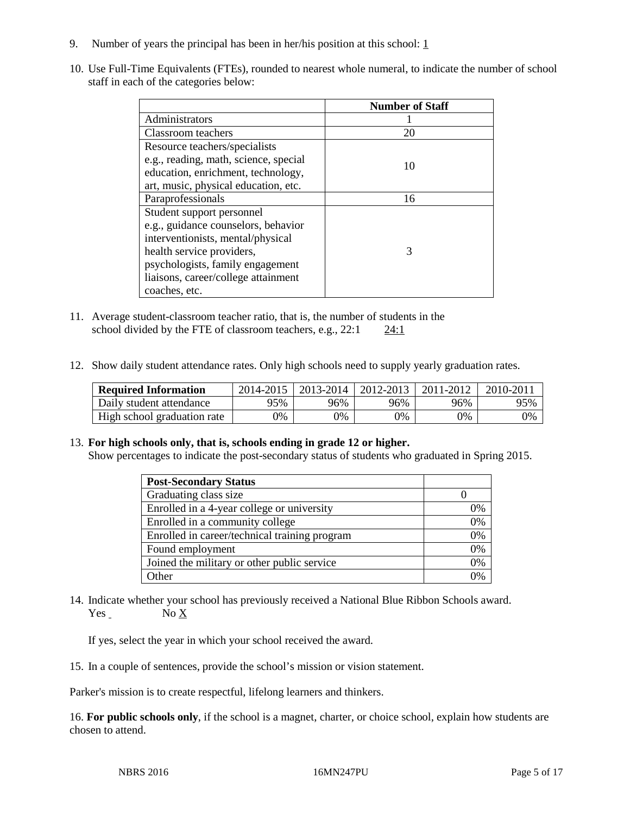- 9. Number of years the principal has been in her/his position at this school:  $1 \overline{1}$
- 10. Use Full-Time Equivalents (FTEs), rounded to nearest whole numeral, to indicate the number of school staff in each of the categories below:

|                                       | <b>Number of Staff</b> |
|---------------------------------------|------------------------|
| Administrators                        |                        |
| Classroom teachers                    | 20                     |
| Resource teachers/specialists         |                        |
| e.g., reading, math, science, special | 10                     |
| education, enrichment, technology,    |                        |
| art, music, physical education, etc.  |                        |
| Paraprofessionals                     | 16                     |
| Student support personnel             |                        |
| e.g., guidance counselors, behavior   |                        |
| interventionists, mental/physical     |                        |
| health service providers,             | 3                      |
| psychologists, family engagement      |                        |
| liaisons, career/college attainment   |                        |
| coaches, etc.                         |                        |

- 11. Average student-classroom teacher ratio, that is, the number of students in the school divided by the FTE of classroom teachers, e.g.,  $22:1$   $24:1$
- 12. Show daily student attendance rates. Only high schools need to supply yearly graduation rates.

| <b>Required Information</b> | 2014-2015 | 2013-2014 | 2012-2013 | 2011-2012 | 2010-2011 |
|-----------------------------|-----------|-----------|-----------|-----------|-----------|
| Daily student attendance    | 95%       | 96%       | 96%       | 96%       | 95%       |
| High school graduation rate | 9%        | 0%        | 0%        | 9%        | 0%        |

### 13. **For high schools only, that is, schools ending in grade 12 or higher.**

Show percentages to indicate the post-secondary status of students who graduated in Spring 2015.

| <b>Post-Secondary Status</b>                  |    |
|-----------------------------------------------|----|
| Graduating class size                         |    |
| Enrolled in a 4-year college or university    | 0% |
| Enrolled in a community college               | 0% |
| Enrolled in career/technical training program | 0% |
| Found employment                              | 0% |
| Joined the military or other public service   | 0% |
| Other                                         | 0/ |

14. Indicate whether your school has previously received a National Blue Ribbon Schools award. Yes No X

If yes, select the year in which your school received the award.

15. In a couple of sentences, provide the school's mission or vision statement.

Parker's mission is to create respectful, lifelong learners and thinkers.

16. **For public schools only**, if the school is a magnet, charter, or choice school, explain how students are chosen to attend.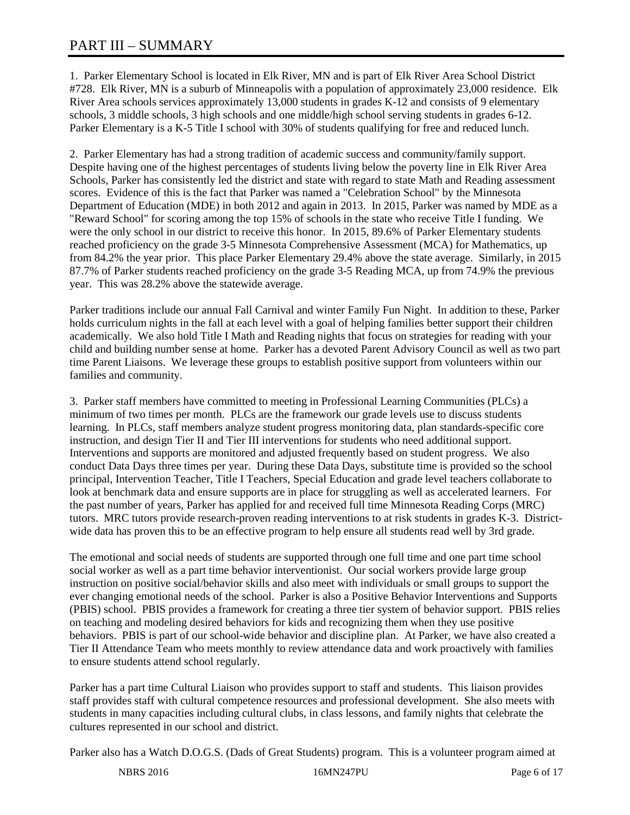1. Parker Elementary School is located in Elk River, MN and is part of Elk River Area School District #728. Elk River, MN is a suburb of Minneapolis with a population of approximately 23,000 residence. Elk River Area schools services approximately 13,000 students in grades K-12 and consists of 9 elementary schools, 3 middle schools, 3 high schools and one middle/high school serving students in grades 6-12. Parker Elementary is a K-5 Title I school with 30% of students qualifying for free and reduced lunch.

2. Parker Elementary has had a strong tradition of academic success and community/family support. Despite having one of the highest percentages of students living below the poverty line in Elk River Area Schools, Parker has consistently led the district and state with regard to state Math and Reading assessment scores. Evidence of this is the fact that Parker was named a "Celebration School" by the Minnesota Department of Education (MDE) in both 2012 and again in 2013. In 2015, Parker was named by MDE as a "Reward School" for scoring among the top 15% of schools in the state who receive Title I funding. We were the only school in our district to receive this honor. In 2015, 89.6% of Parker Elementary students reached proficiency on the grade 3-5 Minnesota Comprehensive Assessment (MCA) for Mathematics, up from 84.2% the year prior. This place Parker Elementary 29.4% above the state average. Similarly, in 2015 87.7% of Parker students reached proficiency on the grade 3-5 Reading MCA, up from 74.9% the previous year. This was 28.2% above the statewide average.

Parker traditions include our annual Fall Carnival and winter Family Fun Night. In addition to these, Parker holds curriculum nights in the fall at each level with a goal of helping families better support their children academically. We also hold Title I Math and Reading nights that focus on strategies for reading with your child and building number sense at home. Parker has a devoted Parent Advisory Council as well as two part time Parent Liaisons. We leverage these groups to establish positive support from volunteers within our families and community.

3. Parker staff members have committed to meeting in Professional Learning Communities (PLCs) a minimum of two times per month. PLCs are the framework our grade levels use to discuss students learning. In PLCs, staff members analyze student progress monitoring data, plan standards-specific core instruction, and design Tier II and Tier III interventions for students who need additional support. Interventions and supports are monitored and adjusted frequently based on student progress. We also conduct Data Days three times per year. During these Data Days, substitute time is provided so the school principal, Intervention Teacher, Title I Teachers, Special Education and grade level teachers collaborate to look at benchmark data and ensure supports are in place for struggling as well as accelerated learners. For the past number of years, Parker has applied for and received full time Minnesota Reading Corps (MRC) tutors. MRC tutors provide research-proven reading interventions to at risk students in grades K-3. Districtwide data has proven this to be an effective program to help ensure all students read well by 3rd grade.

The emotional and social needs of students are supported through one full time and one part time school social worker as well as a part time behavior interventionist. Our social workers provide large group instruction on positive social/behavior skills and also meet with individuals or small groups to support the ever changing emotional needs of the school. Parker is also a Positive Behavior Interventions and Supports (PBIS) school. PBIS provides a framework for creating a three tier system of behavior support. PBIS relies on teaching and modeling desired behaviors for kids and recognizing them when they use positive behaviors. PBIS is part of our school-wide behavior and discipline plan. At Parker, we have also created a Tier II Attendance Team who meets monthly to review attendance data and work proactively with families to ensure students attend school regularly.

Parker has a part time Cultural Liaison who provides support to staff and students. This liaison provides staff provides staff with cultural competence resources and professional development. She also meets with students in many capacities including cultural clubs, in class lessons, and family nights that celebrate the cultures represented in our school and district.

Parker also has a Watch D.O.G.S. (Dads of Great Students) program. This is a volunteer program aimed at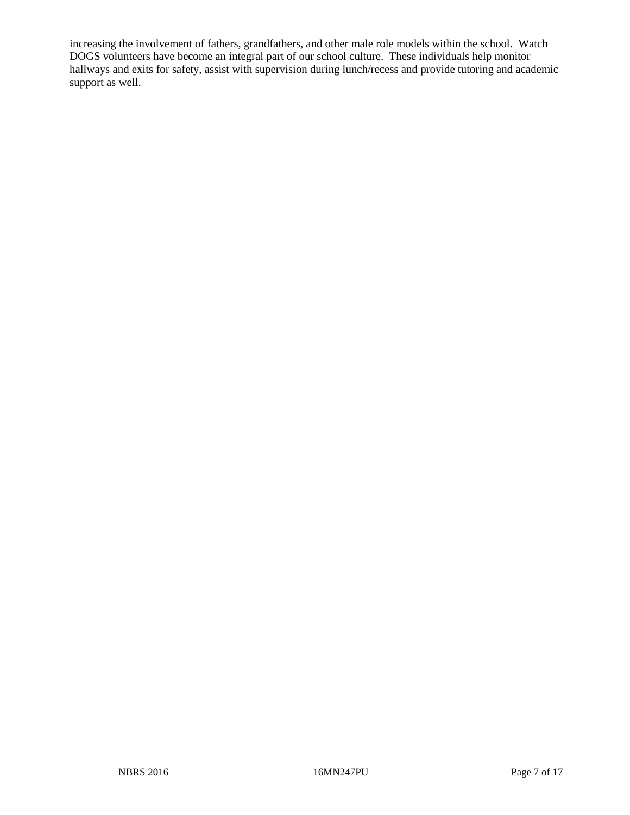increasing the involvement of fathers, grandfathers, and other male role models within the school. Watch DOGS volunteers have become an integral part of our school culture. These individuals help monitor hallways and exits for safety, assist with supervision during lunch/recess and provide tutoring and academic support as well.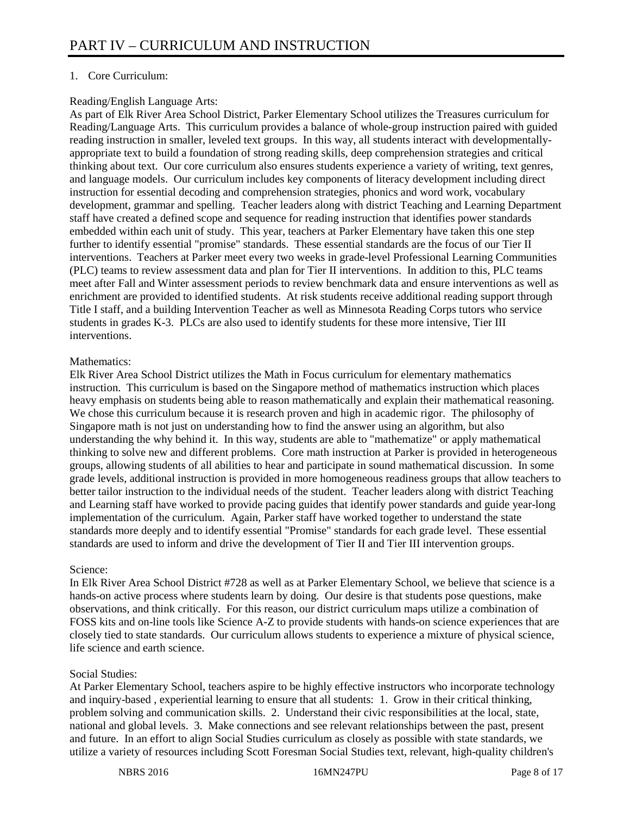## 1. Core Curriculum:

## Reading/English Language Arts:

As part of Elk River Area School District, Parker Elementary School utilizes the Treasures curriculum for Reading/Language Arts. This curriculum provides a balance of whole-group instruction paired with guided reading instruction in smaller, leveled text groups. In this way, all students interact with developmentallyappropriate text to build a foundation of strong reading skills, deep comprehension strategies and critical thinking about text. Our core curriculum also ensures students experience a variety of writing, text genres, and language models. Our curriculum includes key components of literacy development including direct instruction for essential decoding and comprehension strategies, phonics and word work, vocabulary development, grammar and spelling. Teacher leaders along with district Teaching and Learning Department staff have created a defined scope and sequence for reading instruction that identifies power standards embedded within each unit of study. This year, teachers at Parker Elementary have taken this one step further to identify essential "promise" standards. These essential standards are the focus of our Tier II interventions. Teachers at Parker meet every two weeks in grade-level Professional Learning Communities (PLC) teams to review assessment data and plan for Tier II interventions. In addition to this, PLC teams meet after Fall and Winter assessment periods to review benchmark data and ensure interventions as well as enrichment are provided to identified students. At risk students receive additional reading support through Title I staff, and a building Intervention Teacher as well as Minnesota Reading Corps tutors who service students in grades K-3. PLCs are also used to identify students for these more intensive, Tier III interventions.

## Mathematics:

Elk River Area School District utilizes the Math in Focus curriculum for elementary mathematics instruction. This curriculum is based on the Singapore method of mathematics instruction which places heavy emphasis on students being able to reason mathematically and explain their mathematical reasoning. We chose this curriculum because it is research proven and high in academic rigor. The philosophy of Singapore math is not just on understanding how to find the answer using an algorithm, but also understanding the why behind it. In this way, students are able to "mathematize" or apply mathematical thinking to solve new and different problems. Core math instruction at Parker is provided in heterogeneous groups, allowing students of all abilities to hear and participate in sound mathematical discussion. In some grade levels, additional instruction is provided in more homogeneous readiness groups that allow teachers to better tailor instruction to the individual needs of the student. Teacher leaders along with district Teaching and Learning staff have worked to provide pacing guides that identify power standards and guide year-long implementation of the curriculum. Again, Parker staff have worked together to understand the state standards more deeply and to identify essential "Promise" standards for each grade level. These essential standards are used to inform and drive the development of Tier II and Tier III intervention groups.

# Science:

In Elk River Area School District #728 as well as at Parker Elementary School, we believe that science is a hands-on active process where students learn by doing. Our desire is that students pose questions, make observations, and think critically. For this reason, our district curriculum maps utilize a combination of FOSS kits and on-line tools like Science A-Z to provide students with hands-on science experiences that are closely tied to state standards. Our curriculum allows students to experience a mixture of physical science, life science and earth science.

# Social Studies:

At Parker Elementary School, teachers aspire to be highly effective instructors who incorporate technology and inquiry-based , experiential learning to ensure that all students: 1. Grow in their critical thinking, problem solving and communication skills. 2. Understand their civic responsibilities at the local, state, national and global levels. 3. Make connections and see relevant relationships between the past, present and future. In an effort to align Social Studies curriculum as closely as possible with state standards, we utilize a variety of resources including Scott Foresman Social Studies text, relevant, high-quality children's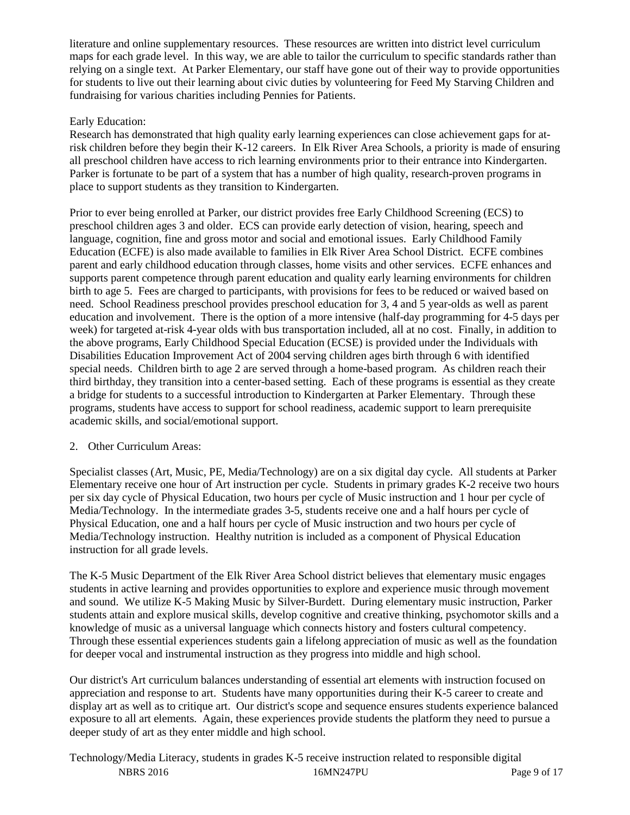literature and online supplementary resources. These resources are written into district level curriculum maps for each grade level. In this way, we are able to tailor the curriculum to specific standards rather than relying on a single text. At Parker Elementary, our staff have gone out of their way to provide opportunities for students to live out their learning about civic duties by volunteering for Feed My Starving Children and fundraising for various charities including Pennies for Patients.

# Early Education:

Research has demonstrated that high quality early learning experiences can close achievement gaps for atrisk children before they begin their K-12 careers. In Elk River Area Schools, a priority is made of ensuring all preschool children have access to rich learning environments prior to their entrance into Kindergarten. Parker is fortunate to be part of a system that has a number of high quality, research-proven programs in place to support students as they transition to Kindergarten.

Prior to ever being enrolled at Parker, our district provides free Early Childhood Screening (ECS) to preschool children ages 3 and older. ECS can provide early detection of vision, hearing, speech and language, cognition, fine and gross motor and social and emotional issues. Early Childhood Family Education (ECFE) is also made available to families in Elk River Area School District. ECFE combines parent and early childhood education through classes, home visits and other services. ECFE enhances and supports parent competence through parent education and quality early learning environments for children birth to age 5. Fees are charged to participants, with provisions for fees to be reduced or waived based on need. School Readiness preschool provides preschool education for 3, 4 and 5 year-olds as well as parent education and involvement. There is the option of a more intensive (half-day programming for 4-5 days per week) for targeted at-risk 4-year olds with bus transportation included, all at no cost. Finally, in addition to the above programs, Early Childhood Special Education (ECSE) is provided under the Individuals with Disabilities Education Improvement Act of 2004 serving children ages birth through 6 with identified special needs. Children birth to age 2 are served through a home-based program. As children reach their third birthday, they transition into a center-based setting. Each of these programs is essential as they create a bridge for students to a successful introduction to Kindergarten at Parker Elementary. Through these programs, students have access to support for school readiness, academic support to learn prerequisite academic skills, and social/emotional support.

### 2. Other Curriculum Areas:

Specialist classes (Art, Music, PE, Media/Technology) are on a six digital day cycle. All students at Parker Elementary receive one hour of Art instruction per cycle. Students in primary grades K-2 receive two hours per six day cycle of Physical Education, two hours per cycle of Music instruction and 1 hour per cycle of Media/Technology. In the intermediate grades 3-5, students receive one and a half hours per cycle of Physical Education, one and a half hours per cycle of Music instruction and two hours per cycle of Media/Technology instruction. Healthy nutrition is included as a component of Physical Education instruction for all grade levels.

The K-5 Music Department of the Elk River Area School district believes that elementary music engages students in active learning and provides opportunities to explore and experience music through movement and sound. We utilize K-5 Making Music by Silver-Burdett. During elementary music instruction, Parker students attain and explore musical skills, develop cognitive and creative thinking, psychomotor skills and a knowledge of music as a universal language which connects history and fosters cultural competency. Through these essential experiences students gain a lifelong appreciation of music as well as the foundation for deeper vocal and instrumental instruction as they progress into middle and high school.

Our district's Art curriculum balances understanding of essential art elements with instruction focused on appreciation and response to art. Students have many opportunities during their K-5 career to create and display art as well as to critique art. Our district's scope and sequence ensures students experience balanced exposure to all art elements. Again, these experiences provide students the platform they need to pursue a deeper study of art as they enter middle and high school.

NBRS 2016 **16MN247PU** Page 9 of 17 Technology/Media Literacy, students in grades K-5 receive instruction related to responsible digital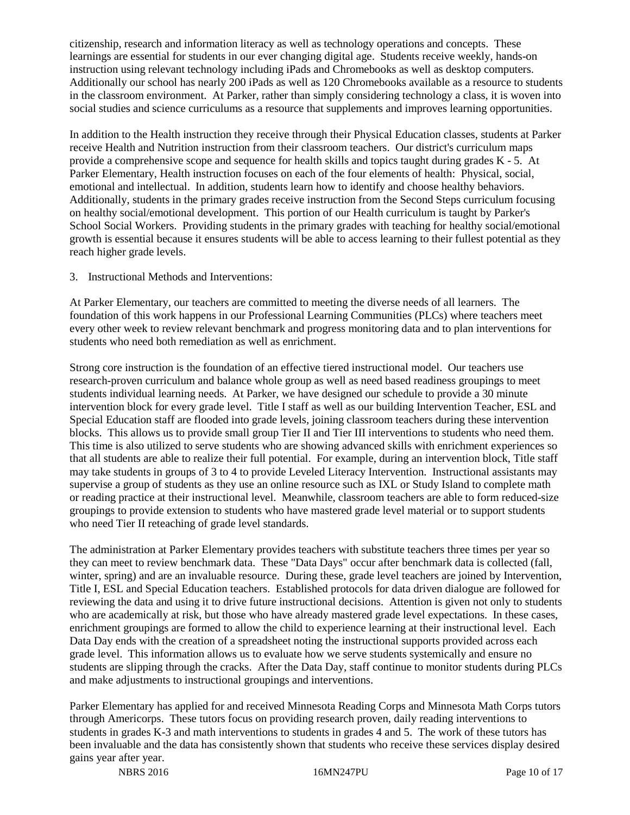citizenship, research and information literacy as well as technology operations and concepts. These learnings are essential for students in our ever changing digital age. Students receive weekly, hands-on instruction using relevant technology including iPads and Chromebooks as well as desktop computers. Additionally our school has nearly 200 iPads as well as 120 Chromebooks available as a resource to students in the classroom environment. At Parker, rather than simply considering technology a class, it is woven into social studies and science curriculums as a resource that supplements and improves learning opportunities.

In addition to the Health instruction they receive through their Physical Education classes, students at Parker receive Health and Nutrition instruction from their classroom teachers. Our district's curriculum maps provide a comprehensive scope and sequence for health skills and topics taught during grades K - 5. At Parker Elementary, Health instruction focuses on each of the four elements of health: Physical, social, emotional and intellectual. In addition, students learn how to identify and choose healthy behaviors. Additionally, students in the primary grades receive instruction from the Second Steps curriculum focusing on healthy social/emotional development. This portion of our Health curriculum is taught by Parker's School Social Workers. Providing students in the primary grades with teaching for healthy social/emotional growth is essential because it ensures students will be able to access learning to their fullest potential as they reach higher grade levels.

3. Instructional Methods and Interventions:

At Parker Elementary, our teachers are committed to meeting the diverse needs of all learners. The foundation of this work happens in our Professional Learning Communities (PLCs) where teachers meet every other week to review relevant benchmark and progress monitoring data and to plan interventions for students who need both remediation as well as enrichment.

Strong core instruction is the foundation of an effective tiered instructional model. Our teachers use research-proven curriculum and balance whole group as well as need based readiness groupings to meet students individual learning needs. At Parker, we have designed our schedule to provide a 30 minute intervention block for every grade level. Title I staff as well as our building Intervention Teacher, ESL and Special Education staff are flooded into grade levels, joining classroom teachers during these intervention blocks. This allows us to provide small group Tier II and Tier III interventions to students who need them. This time is also utilized to serve students who are showing advanced skills with enrichment experiences so that all students are able to realize their full potential. For example, during an intervention block, Title staff may take students in groups of 3 to 4 to provide Leveled Literacy Intervention. Instructional assistants may supervise a group of students as they use an online resource such as IXL or Study Island to complete math or reading practice at their instructional level. Meanwhile, classroom teachers are able to form reduced-size groupings to provide extension to students who have mastered grade level material or to support students who need Tier II reteaching of grade level standards.

The administration at Parker Elementary provides teachers with substitute teachers three times per year so they can meet to review benchmark data. These "Data Days" occur after benchmark data is collected (fall, winter, spring) and are an invaluable resource. During these, grade level teachers are joined by Intervention, Title I, ESL and Special Education teachers. Established protocols for data driven dialogue are followed for reviewing the data and using it to drive future instructional decisions. Attention is given not only to students who are academically at risk, but those who have already mastered grade level expectations. In these cases, enrichment groupings are formed to allow the child to experience learning at their instructional level. Each Data Day ends with the creation of a spreadsheet noting the instructional supports provided across each grade level. This information allows us to evaluate how we serve students systemically and ensure no students are slipping through the cracks. After the Data Day, staff continue to monitor students during PLCs and make adjustments to instructional groupings and interventions.

Parker Elementary has applied for and received Minnesota Reading Corps and Minnesota Math Corps tutors through Americorps. These tutors focus on providing research proven, daily reading interventions to students in grades K-3 and math interventions to students in grades 4 and 5. The work of these tutors has been invaluable and the data has consistently shown that students who receive these services display desired gains year after year.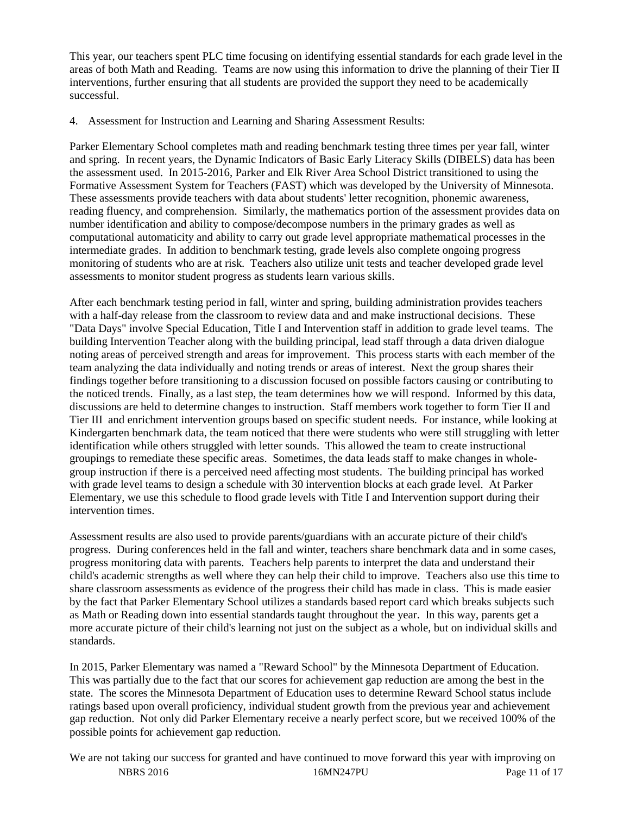This year, our teachers spent PLC time focusing on identifying essential standards for each grade level in the areas of both Math and Reading. Teams are now using this information to drive the planning of their Tier II interventions, further ensuring that all students are provided the support they need to be academically successful.

4. Assessment for Instruction and Learning and Sharing Assessment Results:

Parker Elementary School completes math and reading benchmark testing three times per year fall, winter and spring. In recent years, the Dynamic Indicators of Basic Early Literacy Skills (DIBELS) data has been the assessment used. In 2015-2016, Parker and Elk River Area School District transitioned to using the Formative Assessment System for Teachers (FAST) which was developed by the University of Minnesota. These assessments provide teachers with data about students' letter recognition, phonemic awareness, reading fluency, and comprehension. Similarly, the mathematics portion of the assessment provides data on number identification and ability to compose/decompose numbers in the primary grades as well as computational automaticity and ability to carry out grade level appropriate mathematical processes in the intermediate grades. In addition to benchmark testing, grade levels also complete ongoing progress monitoring of students who are at risk. Teachers also utilize unit tests and teacher developed grade level assessments to monitor student progress as students learn various skills.

After each benchmark testing period in fall, winter and spring, building administration provides teachers with a half-day release from the classroom to review data and and make instructional decisions. These "Data Days" involve Special Education, Title I and Intervention staff in addition to grade level teams. The building Intervention Teacher along with the building principal, lead staff through a data driven dialogue noting areas of perceived strength and areas for improvement. This process starts with each member of the team analyzing the data individually and noting trends or areas of interest. Next the group shares their findings together before transitioning to a discussion focused on possible factors causing or contributing to the noticed trends. Finally, as a last step, the team determines how we will respond. Informed by this data, discussions are held to determine changes to instruction. Staff members work together to form Tier II and Tier III and enrichment intervention groups based on specific student needs. For instance, while looking at Kindergarten benchmark data, the team noticed that there were students who were still struggling with letter identification while others struggled with letter sounds. This allowed the team to create instructional groupings to remediate these specific areas. Sometimes, the data leads staff to make changes in wholegroup instruction if there is a perceived need affecting most students. The building principal has worked with grade level teams to design a schedule with 30 intervention blocks at each grade level. At Parker Elementary, we use this schedule to flood grade levels with Title I and Intervention support during their intervention times.

Assessment results are also used to provide parents/guardians with an accurate picture of their child's progress. During conferences held in the fall and winter, teachers share benchmark data and in some cases, progress monitoring data with parents. Teachers help parents to interpret the data and understand their child's academic strengths as well where they can help their child to improve. Teachers also use this time to share classroom assessments as evidence of the progress their child has made in class. This is made easier by the fact that Parker Elementary School utilizes a standards based report card which breaks subjects such as Math or Reading down into essential standards taught throughout the year. In this way, parents get a more accurate picture of their child's learning not just on the subject as a whole, but on individual skills and standards.

In 2015, Parker Elementary was named a "Reward School" by the Minnesota Department of Education. This was partially due to the fact that our scores for achievement gap reduction are among the best in the state. The scores the Minnesota Department of Education uses to determine Reward School status include ratings based upon overall proficiency, individual student growth from the previous year and achievement gap reduction. Not only did Parker Elementary receive a nearly perfect score, but we received 100% of the possible points for achievement gap reduction.

NBRS 2016 16MN247PU Page 11 of 17 We are not taking our success for granted and have continued to move forward this year with improving on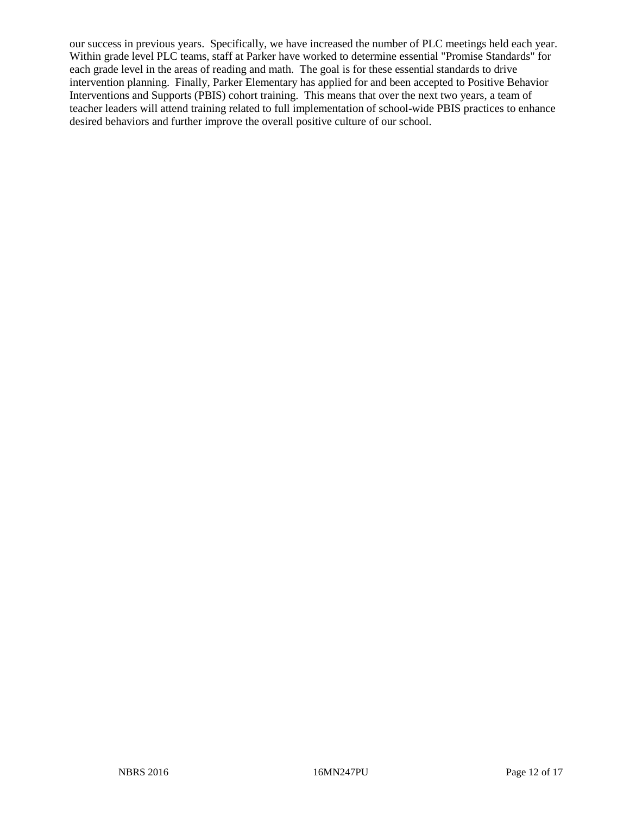our success in previous years. Specifically, we have increased the number of PLC meetings held each year. Within grade level PLC teams, staff at Parker have worked to determine essential "Promise Standards" for each grade level in the areas of reading and math. The goal is for these essential standards to drive intervention planning. Finally, Parker Elementary has applied for and been accepted to Positive Behavior Interventions and Supports (PBIS) cohort training. This means that over the next two years, a team of teacher leaders will attend training related to full implementation of school-wide PBIS practices to enhance desired behaviors and further improve the overall positive culture of our school.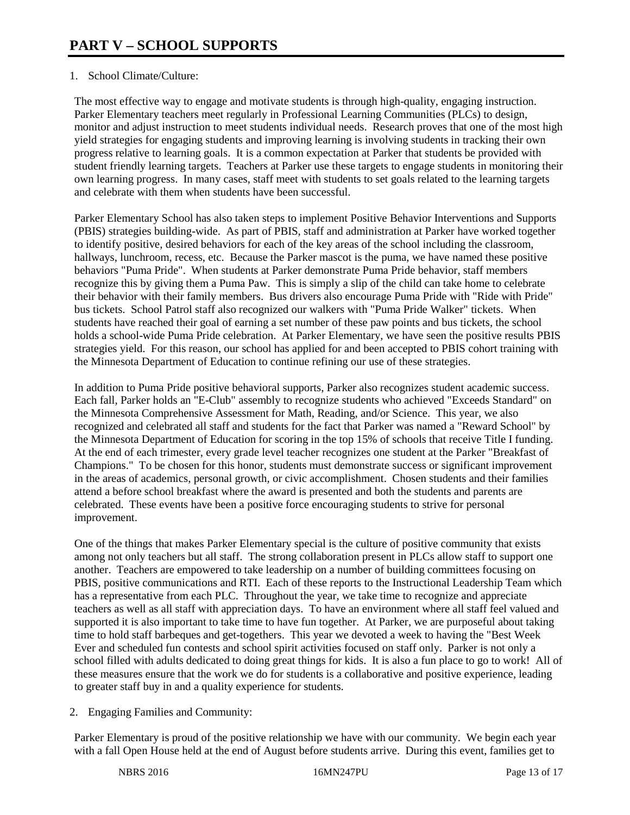## 1. School Climate/Culture:

The most effective way to engage and motivate students is through high-quality, engaging instruction. Parker Elementary teachers meet regularly in Professional Learning Communities (PLCs) to design, monitor and adjust instruction to meet students individual needs. Research proves that one of the most high yield strategies for engaging students and improving learning is involving students in tracking their own progress relative to learning goals. It is a common expectation at Parker that students be provided with student friendly learning targets. Teachers at Parker use these targets to engage students in monitoring their own learning progress. In many cases, staff meet with students to set goals related to the learning targets and celebrate with them when students have been successful.

Parker Elementary School has also taken steps to implement Positive Behavior Interventions and Supports (PBIS) strategies building-wide. As part of PBIS, staff and administration at Parker have worked together to identify positive, desired behaviors for each of the key areas of the school including the classroom, hallways, lunchroom, recess, etc. Because the Parker mascot is the puma, we have named these positive behaviors "Puma Pride". When students at Parker demonstrate Puma Pride behavior, staff members recognize this by giving them a Puma Paw. This is simply a slip of the child can take home to celebrate their behavior with their family members. Bus drivers also encourage Puma Pride with "Ride with Pride" bus tickets. School Patrol staff also recognized our walkers with "Puma Pride Walker" tickets. When students have reached their goal of earning a set number of these paw points and bus tickets, the school holds a school-wide Puma Pride celebration. At Parker Elementary, we have seen the positive results PBIS strategies yield. For this reason, our school has applied for and been accepted to PBIS cohort training with the Minnesota Department of Education to continue refining our use of these strategies.

In addition to Puma Pride positive behavioral supports, Parker also recognizes student academic success. Each fall, Parker holds an "E-Club" assembly to recognize students who achieved "Exceeds Standard" on the Minnesota Comprehensive Assessment for Math, Reading, and/or Science. This year, we also recognized and celebrated all staff and students for the fact that Parker was named a "Reward School" by the Minnesota Department of Education for scoring in the top 15% of schools that receive Title I funding. At the end of each trimester, every grade level teacher recognizes one student at the Parker "Breakfast of Champions." To be chosen for this honor, students must demonstrate success or significant improvement in the areas of academics, personal growth, or civic accomplishment. Chosen students and their families attend a before school breakfast where the award is presented and both the students and parents are celebrated. These events have been a positive force encouraging students to strive for personal improvement.

One of the things that makes Parker Elementary special is the culture of positive community that exists among not only teachers but all staff. The strong collaboration present in PLCs allow staff to support one another. Teachers are empowered to take leadership on a number of building committees focusing on PBIS, positive communications and RTI. Each of these reports to the Instructional Leadership Team which has a representative from each PLC. Throughout the year, we take time to recognize and appreciate teachers as well as all staff with appreciation days. To have an environment where all staff feel valued and supported it is also important to take time to have fun together. At Parker, we are purposeful about taking time to hold staff barbeques and get-togethers. This year we devoted a week to having the "Best Week Ever and scheduled fun contests and school spirit activities focused on staff only. Parker is not only a school filled with adults dedicated to doing great things for kids. It is also a fun place to go to work! All of these measures ensure that the work we do for students is a collaborative and positive experience, leading to greater staff buy in and a quality experience for students.

2. Engaging Families and Community:

Parker Elementary is proud of the positive relationship we have with our community. We begin each year with a fall Open House held at the end of August before students arrive. During this event, families get to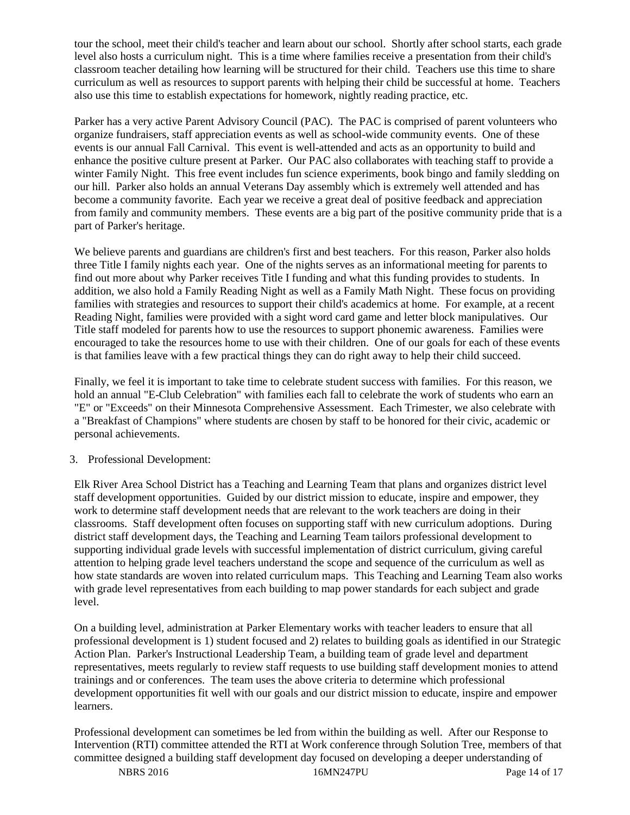tour the school, meet their child's teacher and learn about our school. Shortly after school starts, each grade level also hosts a curriculum night. This is a time where families receive a presentation from their child's classroom teacher detailing how learning will be structured for their child. Teachers use this time to share curriculum as well as resources to support parents with helping their child be successful at home. Teachers also use this time to establish expectations for homework, nightly reading practice, etc.

Parker has a very active Parent Advisory Council (PAC). The PAC is comprised of parent volunteers who organize fundraisers, staff appreciation events as well as school-wide community events. One of these events is our annual Fall Carnival. This event is well-attended and acts as an opportunity to build and enhance the positive culture present at Parker. Our PAC also collaborates with teaching staff to provide a winter Family Night. This free event includes fun science experiments, book bingo and family sledding on our hill. Parker also holds an annual Veterans Day assembly which is extremely well attended and has become a community favorite. Each year we receive a great deal of positive feedback and appreciation from family and community members. These events are a big part of the positive community pride that is a part of Parker's heritage.

We believe parents and guardians are children's first and best teachers. For this reason, Parker also holds three Title I family nights each year. One of the nights serves as an informational meeting for parents to find out more about why Parker receives Title I funding and what this funding provides to students. In addition, we also hold a Family Reading Night as well as a Family Math Night. These focus on providing families with strategies and resources to support their child's academics at home. For example, at a recent Reading Night, families were provided with a sight word card game and letter block manipulatives. Our Title staff modeled for parents how to use the resources to support phonemic awareness. Families were encouraged to take the resources home to use with their children. One of our goals for each of these events is that families leave with a few practical things they can do right away to help their child succeed.

Finally, we feel it is important to take time to celebrate student success with families. For this reason, we hold an annual "E-Club Celebration" with families each fall to celebrate the work of students who earn an "E" or "Exceeds" on their Minnesota Comprehensive Assessment. Each Trimester, we also celebrate with a "Breakfast of Champions" where students are chosen by staff to be honored for their civic, academic or personal achievements.

### 3. Professional Development:

Elk River Area School District has a Teaching and Learning Team that plans and organizes district level staff development opportunities. Guided by our district mission to educate, inspire and empower, they work to determine staff development needs that are relevant to the work teachers are doing in their classrooms. Staff development often focuses on supporting staff with new curriculum adoptions. During district staff development days, the Teaching and Learning Team tailors professional development to supporting individual grade levels with successful implementation of district curriculum, giving careful attention to helping grade level teachers understand the scope and sequence of the curriculum as well as how state standards are woven into related curriculum maps. This Teaching and Learning Team also works with grade level representatives from each building to map power standards for each subject and grade level.

On a building level, administration at Parker Elementary works with teacher leaders to ensure that all professional development is 1) student focused and 2) relates to building goals as identified in our Strategic Action Plan. Parker's Instructional Leadership Team, a building team of grade level and department representatives, meets regularly to review staff requests to use building staff development monies to attend trainings and or conferences. The team uses the above criteria to determine which professional development opportunities fit well with our goals and our district mission to educate, inspire and empower learners.

Professional development can sometimes be led from within the building as well. After our Response to Intervention (RTI) committee attended the RTI at Work conference through Solution Tree, members of that committee designed a building staff development day focused on developing a deeper understanding of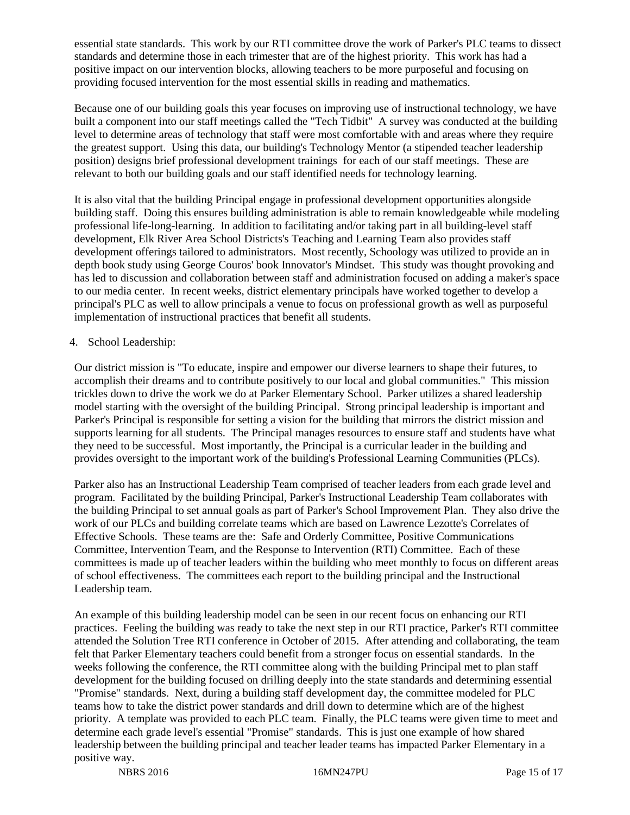essential state standards. This work by our RTI committee drove the work of Parker's PLC teams to dissect standards and determine those in each trimester that are of the highest priority. This work has had a positive impact on our intervention blocks, allowing teachers to be more purposeful and focusing on providing focused intervention for the most essential skills in reading and mathematics.

Because one of our building goals this year focuses on improving use of instructional technology, we have built a component into our staff meetings called the "Tech Tidbit" A survey was conducted at the building level to determine areas of technology that staff were most comfortable with and areas where they require the greatest support. Using this data, our building's Technology Mentor (a stipended teacher leadership position) designs brief professional development trainings for each of our staff meetings. These are relevant to both our building goals and our staff identified needs for technology learning.

It is also vital that the building Principal engage in professional development opportunities alongside building staff. Doing this ensures building administration is able to remain knowledgeable while modeling professional life-long-learning. In addition to facilitating and/or taking part in all building-level staff development, Elk River Area School Districts's Teaching and Learning Team also provides staff development offerings tailored to administrators. Most recently, Schoology was utilized to provide an in depth book study using George Couros' book Innovator's Mindset. This study was thought provoking and has led to discussion and collaboration between staff and administration focused on adding a maker's space to our media center. In recent weeks, district elementary principals have worked together to develop a principal's PLC as well to allow principals a venue to focus on professional growth as well as purposeful implementation of instructional practices that benefit all students.

### 4. School Leadership:

Our district mission is "To educate, inspire and empower our diverse learners to shape their futures, to accomplish their dreams and to contribute positively to our local and global communities." This mission trickles down to drive the work we do at Parker Elementary School. Parker utilizes a shared leadership model starting with the oversight of the building Principal. Strong principal leadership is important and Parker's Principal is responsible for setting a vision for the building that mirrors the district mission and supports learning for all students. The Principal manages resources to ensure staff and students have what they need to be successful. Most importantly, the Principal is a curricular leader in the building and provides oversight to the important work of the building's Professional Learning Communities (PLCs).

Parker also has an Instructional Leadership Team comprised of teacher leaders from each grade level and program. Facilitated by the building Principal, Parker's Instructional Leadership Team collaborates with the building Principal to set annual goals as part of Parker's School Improvement Plan. They also drive the work of our PLCs and building correlate teams which are based on Lawrence Lezotte's Correlates of Effective Schools. These teams are the: Safe and Orderly Committee, Positive Communications Committee, Intervention Team, and the Response to Intervention (RTI) Committee. Each of these committees is made up of teacher leaders within the building who meet monthly to focus on different areas of school effectiveness. The committees each report to the building principal and the Instructional Leadership team.

An example of this building leadership model can be seen in our recent focus on enhancing our RTI practices. Feeling the building was ready to take the next step in our RTI practice, Parker's RTI committee attended the Solution Tree RTI conference in October of 2015. After attending and collaborating, the team felt that Parker Elementary teachers could benefit from a stronger focus on essential standards. In the weeks following the conference, the RTI committee along with the building Principal met to plan staff development for the building focused on drilling deeply into the state standards and determining essential "Promise" standards. Next, during a building staff development day, the committee modeled for PLC teams how to take the district power standards and drill down to determine which are of the highest priority. A template was provided to each PLC team. Finally, the PLC teams were given time to meet and determine each grade level's essential "Promise" standards. This is just one example of how shared leadership between the building principal and teacher leader teams has impacted Parker Elementary in a positive way.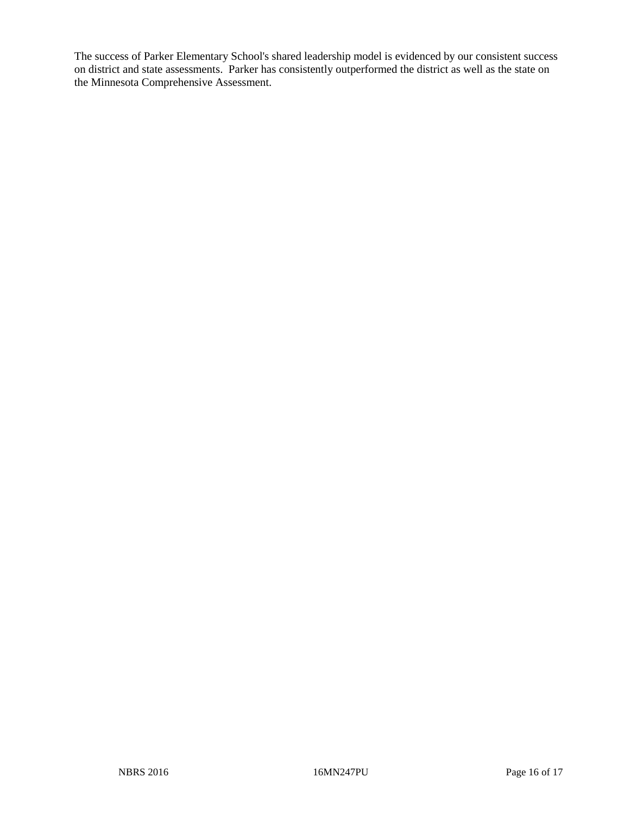The success of Parker Elementary School's shared leadership model is evidenced by our consistent success on district and state assessments. Parker has consistently outperformed the district as well as the state on the Minnesota Comprehensive Assessment.